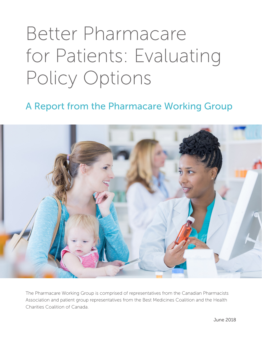# Better Pharmacare for Patients: Evaluating Policy Options

A Report from the Pharmacare Working Group



The Pharmacare Working Group is comprised of representatives from the Canadian Pharmacists Association and patient group representatives from the Best Medicines Coalition and the Health Charities Coalition of Canada.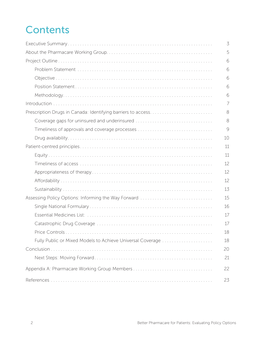# **Contents**

|                                                              | 3  |
|--------------------------------------------------------------|----|
|                                                              | 5  |
|                                                              | 6  |
|                                                              | 6  |
|                                                              | 6  |
|                                                              | 6  |
|                                                              | 6  |
|                                                              | 7  |
| Prescription Drugs in Canada: Identifying barriers to access | 8  |
| Coverage gaps for uninsured and underinsured                 | 8  |
|                                                              | 9  |
|                                                              | 10 |
|                                                              | 11 |
|                                                              | 11 |
|                                                              | 12 |
|                                                              | 12 |
|                                                              | 12 |
|                                                              | 13 |
| Assessing Policy Options: Informing the Way Forward          | 15 |
|                                                              | 16 |
|                                                              | 17 |
|                                                              | 17 |
|                                                              | 18 |
| Fully Public or Mixed Models to Achieve Universal Coverage   | 18 |
|                                                              | 20 |
|                                                              | 21 |
|                                                              | 22 |
|                                                              | 23 |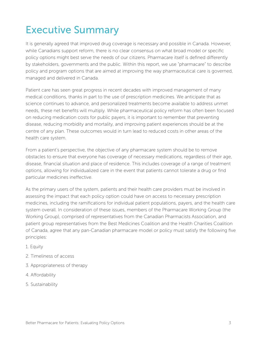# Executive Summary

It is generally agreed that improved drug coverage is necessary and possible in Canada. However, while Canadians support reform, there is no clear consensus on what broad model or specific policy options might best serve the needs of our citizens. Pharmacare itself is defined differently by stakeholders, governments and the public. Within this report, we use "pharmacare" to describe policy and program options that are aimed at improving the way pharmaceutical care is governed, managed and delivered in Canada.

Patient care has seen great progress in recent decades with improved management of many medical conditions, thanks in part to the use of prescription medicines. We anticipate that as science continues to advance, and personalized treatments become available to address unmet needs, these net benefits will multiply. While pharmaceutical policy reform has often been focused on reducing medication costs for public payers, it is important to remember that preventing disease, reducing morbidity and mortality, and improving patient experiences should be at the centre of any plan. These outcomes would in turn lead to reduced costs in other areas of the health care system.

From a patient's perspective, the objective of any pharmacare system should be to remove obstacles to ensure that everyone has coverage of necessary medications, regardless of their age, disease, financial situation and place of residence. This includes coverage of a range of treatment options, allowing for individualized care in the event that patients cannot tolerate a drug or find particular medicines ineffective.

As the primary users of the system, patients and their health care providers must be involved in assessing the impact that each policy option could have on access to necessary prescription medicines, including the ramifications for individual patient populations, payers, and the health care system overall. In consideration of these issues, members of the Pharmacare Working Group (the Working Group), comprised of representatives from the Canadian Pharmacists Association, and patient group representatives from the Best Medicines Coalition and the Health Charities Coalition of Canada, agree that any pan-Canadian pharmacare model or policy must satisfy the following five principles:

- 1. Equity
- 2. Timeliness of access
- 3. Appropriateness of therapy
- 4. Affordability
- 5. Sustainability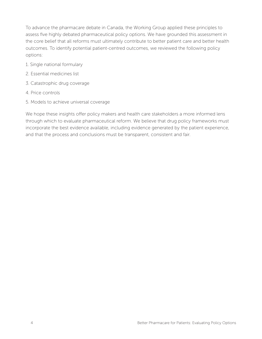To advance the pharmacare debate in Canada, the Working Group applied these principles to assess five highly debated pharmaceutical policy options. We have grounded this assessment in the core belief that all reforms must ultimately contribute to better patient care and better health outcomes. To identify potential patient-centred outcomes, we reviewed the following policy options:

- 1. Single national formulary
- 2. Essential medicines list
- 3. Catastrophic drug coverage
- 4. Price controls
- 5. Models to achieve universal coverage

We hope these insights offer policy makers and health care stakeholders a more informed lens through which to evaluate pharmaceutical reform. We believe that drug policy frameworks must incorporate the best evidence available, including evidence generated by the patient experience, and that the process and conclusions must be transparent, consistent and fair.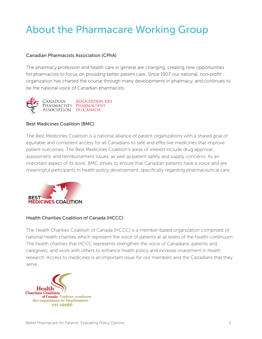# About the Pharmacare Working Group

### Canadian Pharmacists Association (CPhA)

The pharmacy profession and health care in general are changing, creating new opportunities for pharmacists to focus on providing better patient care. Since 1907 our national, non-profit organization has charted the course through many developments in pharmacy, and continues to be the national voice of Canadian pharmacists.



# Best Medicines Coalition (BMC)

The Best Medicines Coalition is a national alliance of patient organizations with a shared goal of equitable and consistent access for all Canadians to safe and effective medicines that improve patient outcomes. The Best Medicines Coalition's areas of interest include drug approval, assessment, and reimbursement issues, as well as patient safety and supply concerns. As an important aspect of its work, BMC strives to ensure that Canadian patients have a voice and are meaningful participants in health policy development, specifically regarding pharmaceutical care.



# Health Charities Coalition of Canada (HCCC)

The Health Charities Coalition of Canada (HCCC) is a member-based organization comprised of national health charities which represent the voice of patients at all levels of the health continuum. The health charities that HCCC represents strengthen the voice of Canadians, patients and caregivers, and work with others to enhance health policy and increase investment in health research. Access to medicines is an important issue for our members and the Canadians that they serve.

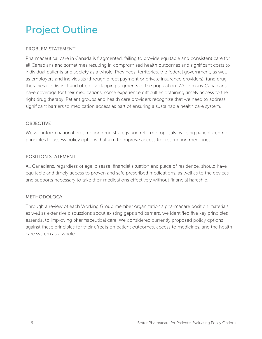# Project Outline

# PROBLEM STATEMENT

Pharmaceutical care in Canada is fragmented, failing to provide equitable and consistent care for all Canadians and sometimes resulting in compromised health outcomes and significant costs to individual patients and society as a whole. Provinces, territories, the federal government, as well as employers and individuals (through direct payment or private insurance providers), fund drug therapies for distinct and often overlapping segments of the population. While many Canadians have coverage for their medications, some experience difficulties obtaining timely access to the right drug therapy. Patient groups and health care providers recognize that we need to address significant barriers to medication access as part of ensuring a sustainable health care system.

# **OBJECTIVE**

We will inform national prescription drug strategy and reform proposals by using patient-centric principles to assess policy options that aim to improve access to prescription medicines.

# POSITION STATEMENT

All Canadians, regardless of age, disease, financial situation and place of residence, should have equitable and timely access to proven and safe prescribed medications, as well as to the devices and supports necessary to take their medications effectively without financial hardship.

# METHODOLOGY

Through a review of each Working Group member organization's pharmacare position materials as well as extensive discussions about existing gaps and barriers, we identified five key principles essential to improving pharmaceutical care. We considered currently proposed policy options against these principles for their effects on patient outcomes, access to medicines, and the health care system as a whole.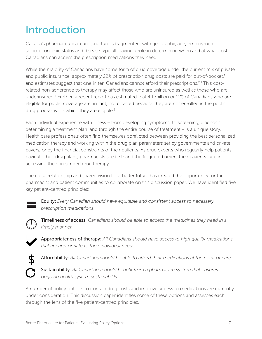# Introduction

Canada's pharmaceutical care structure is fragmented, with geography, age, employment, socio-economic status and disease type all playing a role in determining when and at what cost Canadians can access the prescription medications they need.

While the majority of Canadians have some form of drug coverage under the current mix of private and public insurance, approximately 22% of prescription drug costs are paid for out-of-pocket, $<sup>1</sup>$ </sup> and estimates suggest that one in ten Canadians cannot afford their prescriptions.<sup>2,3</sup> This costrelated non-adherence to therapy may affect those who are uninsured as well as those who are underinsured.4 Further, a recent report has estimated that 4.1 million or 11% of Canadians who are eligible for public coverage are, in fact, not covered because they are not enrolled in the public drug programs for which they are eligible.<sup>5</sup>

Each individual experience with illness – from developing symptoms, to screening, diagnosis, determining a treatment plan, and through the entire course of treatment – is a unique story. Health care professionals often find themselves conflicted between providing the best personalized medication therapy and working within the drug plan parameters set by governments and private payers, or by the financial constraints of their patients. As drug experts who regularly help patients navigate their drug plans, pharmacists see firsthand the frequent barriers their patients face in accessing their prescribed drug therapy.

The close relationship and shared vision for a better future has created the opportunity for the pharmacist and patient communities to collaborate on this discussion paper. We have identified five key patient-centred principles:



Equity: *Every Canadian should have equitable and consistent access to necessary prescription medications.* 



Timeliness of access: *Canadians should be able to access the medicines they need in a timely manner.*



Appropriateness of therapy: *All Canadians should have access to high quality medications that are appropriate to their individual needs.*



Affordability: *All Canadians should be able to afford their medications at the point of care.*

Sustainability: *All Canadians should benefit from a pharmacare system that ensures ongoing health system sustainability.*

A number of policy options to contain drug costs and improve access to medications are currently under consideration. This discussion paper identifies some of these options and assesses each through the lens of the five patient-centred principles.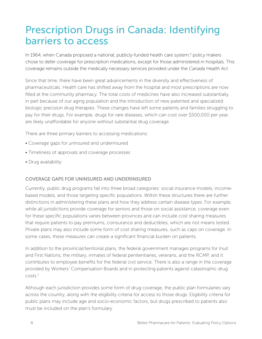# Prescription Drugs in Canada: Identifying barriers to access

In 1964, when Canada proposed a national, publicly-funded health care system, $6$  policy makers chose to defer coverage for prescription medications, except for those administered in hospitals. This coverage remains outside the medically necessary services provided under the *Canada Health Act*.

Since that time, there have been great advancements in the diversity and effectiveness of pharmaceuticals. Health care has shifted away from the hospital and most prescriptions are now filled at the community pharmacy. The total costs of medicines have also increased substantially, in part because of our aging population and the introduction of new patented and specialized biologic precision drug therapies. These changes have left some patients and families struggling to pay for their drugs. For example, drugs for rare diseases, which can cost over \$500,000 per year, are likely unaffordable for anyone without substantial drug coverage.

There are three primary barriers to accessing medications:

- Coverage gaps for uninsured and underinsured
- Timeliness of approvals and coverage processes
- Drug availability

# COVERAGE GAPS FOR UNINSURED AND UNDERINSURED

Currently, public drug programs fall into three broad categories: social insurance models, incomebased models, and those targeting specific populations. Within these structures there are further distinctions in administering these plans and how they address certain disease types. For example, while all jurisdictions provide coverage for seniors and those on social assistance, coverage even for these specific populations varies between provinces and can include cost sharing measures that require patients to pay premiums, coinsurance and deductibles, which are not means tested. Private plans may also include some form of cost sharing measures, such as caps on coverage. In some cases, these measures can create a significant financial burden on patients.

In addition to the provincial/territorial plans, the federal government manages programs for Inuit and First Nations, the military, inmates of federal penitentiaries, veterans, and the RCMP, and it contributes to employee benefits for the federal civil service. There is also a range in the coverage provided by Workers' Compensation Boards and in protecting patients against catastrophic drug costs.7

Although each jurisdiction provides some form of drug coverage, the public plan formularies vary across the country, along with the eligibility criteria for access to those drugs. Eligibility criteria for public plans may include age and socio-economic factors, but drugs prescribed to patients also must be included on the plan's formulary.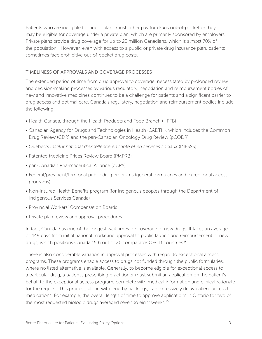Patients who are ineligible for public plans must either pay for drugs out-of-pocket or they may be eligible for coverage under a private plan, which are primarily sponsored by employers. Private plans provide drug coverage for up to 25 million Canadians, which is almost 70% of the population.<sup>8</sup> However, even with access to a public or private drug insurance plan, patients sometimes face prohibitive out-of-pocket drug costs.

# TIMELINESS OF APPROVALS AND COVERAGE PROCESSES

The extended period of time from drug approval to coverage, necessitated by prolonged review and decision-making processes by various regulatory, negotiation and reimbursement bodies of new and innovative medicines continues to be a challenge for patients and a significant barrier to drug access and optimal care. Canada's regulatory, negotiation and reimbursement bodies include the following:

- Health Canada, through the Health Products and Food Branch (HPFB)
- Canadian Agency for Drugs and Technologies in Health (CADTH), which includes the Common Drug Review (CDR) and the pan-Canadian Oncology Drug Review (pCODR)
- Quebec's *Institut national d'excellence en santé et en services sociaux* (INESSS)
- Patented Medicine Prices Review Board (PMPRB)
- pan-Canadian Pharmaceutical Alliance (pCPA)
- Federal/provincial/territorial public drug programs (general formularies and exceptional access programs)
- Non-Insured Health Benefits program (for Indigenous peoples through the Department of Indigenous Services Canada)
- Provincial Workers' Compensation Boards
- Private plan review and approval procedures

In fact, Canada has one of the longest wait times for coverage of new drugs. It takes an average of 449 days from initial national marketing approval to public launch and reimbursement of new drugs, which positions Canada 15th out of 20 comparator OECD countries.<sup>9</sup>

There is also considerable variation in approval processes with regard to exceptional access programs. These programs enable access to drugs not funded through the public formularies, where no listed alternative is available. Generally, to become eligible for exceptional access to a particular drug, a patient's prescribing practitioner must submit an application on the patient's behalf to the exceptional access program, complete with medical information and clinical rationale for the request. This process, along with lengthy backlogs, can excessively delay patient access to medications. For example, the overall length of time to approve applications in Ontario for two of the most requested biologic drugs averaged seven to eight weeks.<sup>10</sup>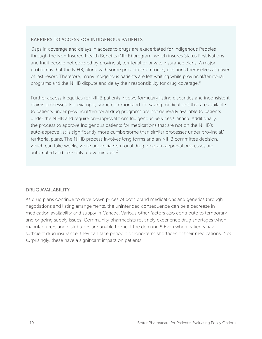# BARRIERS TO ACCESS FOR INDIGENOUS PATIENTS

Gaps in coverage and delays in access to drugs are exacerbated for Indigenous Peoples through the Non-Insured Health Benefits (NIHB) program, which insures Status First Nations and Inuit people not covered by provincial, territorial or private insurance plans. A major problem is that the NIHB, along with some provinces/territories, positions themselves as payer of last resort. Therefore, many Indigenous patients are left waiting while provincial/territorial programs and the NIHB dispute and delay their responsibility for drug coverage.<sup>11</sup>

Further access inequities for NIHB patients involve formulary listing disparities and inconsistent claims processes. For example, some common and life-saving medications that are available to patients under provincial/territorial drug programs are not generally available to patients under the NIHB and require pre-approval from Indigenous Services Canada. Additionally, the process to approve Indigenous patients for medications that are not on the NIHB's auto-approve list is significantly more cumbersome than similar processes under provincial/ territorial plans. The NIHB process involves long forms and an NIHB committee decision, which can take weeks, while provincial/territorial drug program approval processes are automated and take only a few minutes.12

# DRUG AVAILABILITY

As drug plans continue to drive down prices of both brand medications and generics through negotiations and listing arrangements, the unintended consequence can be a decrease in medication availability and supply in Canada. Various other factors also contribute to temporary and ongoing supply issues. Community pharmacists routinely experience drug shortages when manufacturers and distributors are unable to meet the demand.13 Even when patients have sufficient drug insurance, they can face periodic or long-term shortages of their medications. Not surprisingly, these have a significant impact on patients.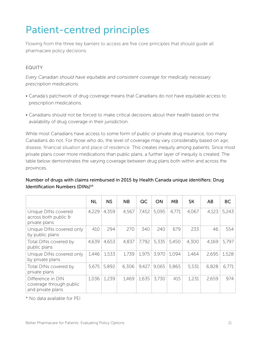# Patient-centred principles

Flowing from the three key barriers to access are five core principles that should guide all pharmacare policy decisions.

# EQUITY

*Every Canadian should have equitable and consistent coverage for medically necessary prescription medications.* 

- Canada's patchwork of drug coverage means that Canadians do not have equitable access to prescription medications.
- Canadians should not be forced to make critical decisions about their health based on the availability of drug coverage in their jurisdiction.

While most Canadians have access to some form of public or private drug insurance, too many Canadians do not. For those who do, the level of coverage may vary considerably based on age, disease, financial situation and place of residence. This creates inequity among patients. Since most private plans cover more medications than public plans, a further layer of inequity is created. The table below demonstrates the varying coverage between drug plans both within and across the provinces.

# Number of drugs with claims reimbursed in 2015 by Health Canada unique identifiers: Drug Identification Numbers (DINs)<sup>14</sup>

|                                                                     | <b>NL</b> | <b>NS</b> | <b>NB</b> | QC    | <b>ON</b> | MB    | <b>SK</b> | AB    | <b>BC</b> |
|---------------------------------------------------------------------|-----------|-----------|-----------|-------|-----------|-------|-----------|-------|-----------|
| Unique DINs covered<br>$across both public \theta$<br>private plans | 4,229     | 4,359     | 4,567     | 7,452 | 5,095     | 4,771 | 4,067     | 4,123 | 5,243     |
| Unique DINs covered only<br>by public plans                         | 410       | 294       | 270       | 340   | 240       | 679   | 233       | 46    | 554       |
| Total DINs covered by<br>public plans                               | 4,639     | 4,653     | 4,837     | 7,792 | 5,335     | 5,450 | 4,300     | 4,169 | 5,797     |
| Unique DINs covered only<br>by private plans                        | 1,446     | 1,533     | 1,739     | 1,975 | 3,970     | 1,094 | 1,464     | 2,695 | 1,528     |
| Total DINs covered by<br>private plans                              | 5,675     | 5,892     | 6,306     | 9,427 | 9,065     | 5,865 | 5,531     | 6,828 | 6,771     |
| Difference in DIN<br>coverage through public<br>and private plans   | 1,036     | 1,239     | 1,469     | 1,635 | 3,730     | 415   | 1,231     | 2,659 | 974       |

\* No data available for PEI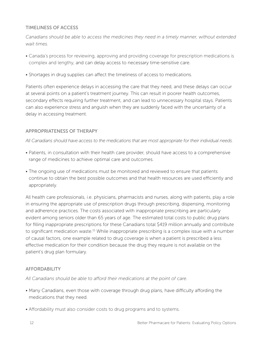### TIMELINESS OF ACCESS

*Canadians should be able to access the medicines they need in a timely manner, without extended wait times.*

- Canada's process for reviewing, approving and providing coverage for prescription medications is complex and lengthy, and can delay access to necessary time-sensitive care.
- Shortages in drug supplies can affect the timeliness of access to medications.

Patients often experience delays in accessing the care that they need, and these delays can occur at several points on a patient's treatment journey. This can result in poorer health outcomes, secondary effects requiring further treatment, and can lead to unnecessary hospital stays. Patients can also experience stress and anguish when they are suddenly faced with the uncertainty of a delay in accessing treatment.

#### APPROPRIATENESS OF THERAPY

*All Canadians should have access to the medications that are most appropriate for their individual needs.*

- Patients, in consultation with their health care provider, should have access to a comprehensive range of medicines to achieve optimal care and outcomes.
- The ongoing use of medications must be monitored and reviewed to ensure that patients continue to obtain the best possible outcomes and that health resources are used efficiently and appropriately.

All health care professionals, i.e. physicians, pharmacists and nurses, along with patients, play a role in ensuring the appropriate use of prescription drugs through prescribing, dispensing, monitoring and adherence practices. The costs associated with inappropriate prescribing are particularly evident among seniors older than 65 years of age. The estimated total costs to public drug plans for filling inappropriate prescriptions for these Canadians total \$419 million annually and contribute to significant medication waste.15 While inappropriate prescribing is a complex issue with a number of causal factors, one example related to drug coverage is when a patient is prescribed a less effective medication for their condition because the drug they require is not available on the patient's drug plan formulary.

#### AFFORDABILITY

*All Canadians should be able to afford their medications at the point of care.*

- Many Canadians, even those with coverage through drug plans, have difficulty affording the medications that they need.
- Affordability must also consider costs to drug programs and to systems.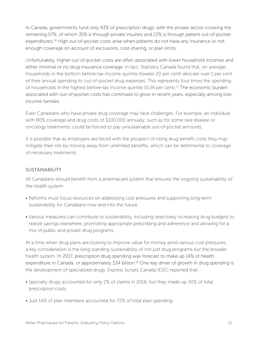In Canada, governments fund only 43% of prescription drugs, with the private sector covering the remaining 57%, of which 35% is through private insurers and 22% is through patient out-of-pocket expenditures.<sup>16</sup> High out-of-pocket costs arise when patients do not have any insurance or not enough coverage on account of exclusions, cost-sharing, or plan limits.

Unfortunately, higher out-of-pocket costs are often associated with lower household incomes and either minimal or no drug insurance coverage. In fact, Statistics Canada found that, on average, households in the bottom before-tax income quintile (lowest 20 per cent) allocate over 1 per cent of their annual spending to out-of-pocket drug expenses. This represents four times the spending of households in the highest before-tax income quintile (0.24 per cent).17 The economic burden associated with out-of-pocket costs has continued to grow in recent years, especially among lowincome families.

Even Canadians who have private drug coverage may face challenges. For example, an individual with 80% coverage and drug costs of \$100,000 annually, such as for some rare disease or oncology treatments, could be forced to pay unsustainable out-of-pocket amounts.

It is possible that as employers are faced with the prospect of rising drug benefit costs they may mitigate their risk by moving away from unlimited benefits, which can be detrimental to coverage of necessary treatments.

# **SUSTAINABILITY**

*All Canadians should benefit from a pharmacare system that ensures the ongoing sustainability of the health system.*

- Reforms must focus resources on addressing cost pressures and supporting long-term sustainability for Canadians now and into the future.
- Various measures can contribute to sustainability, including selectively increasing drug budgets to realize savings elsewhere, promoting appropriate prescribing and adherence and allowing for a mix of public and private drug programs.

At a time when drug plans are looking to improve value for money amid various cost pressures, a key consideration is the long-standing sustainability of not just drug programs but the broader health system. In 2017, prescription drug spending was forecast to make up 14% of health expenditure in Canada, or approximately \$34 billion.<sup>18</sup> One key driver of growth in drug spending is the development of specialized drugs. Express Scripts Canada (ESC) reported that:

- Specialty drugs accounted for only 2% of claims in 2016, but they made up 30% of total prescription costs.
- Just 14% of plan members accounted for 72% of total plan spending.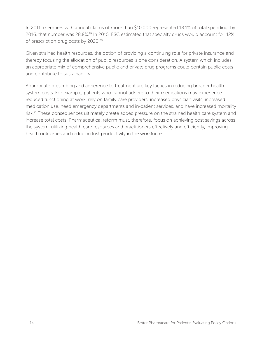In 2011, members with annual claims of more than \$10,000 represented 18.1% of total spending; by 2016, that number was 28.8%.19 In 2015, ESC estimated that specialty drugs would account for 42% of prescription drug costs by 2020.20

Given strained health resources, the option of providing a continuing role for private insurance and thereby focusing the allocation of public resources is one consideration. A system which includes an appropriate mix of comprehensive public and private drug programs could contain public costs and contribute to sustainability.

Appropriate prescribing and adherence to treatment are key tactics in reducing broader health system costs. For example, patients who cannot adhere to their medications may experience reduced functioning at work, rely on family care providers, increased physician visits, increased medication use, need emergency departments and in-patient services, and have increased mortality risk.<sup>21</sup> These consequences ultimately create added pressure on the strained health care system and increase total costs. Pharmaceutical reform must, therefore, focus on achieving cost savings across the system, utilizing health care resources and practitioners effectively and efficiently, improving health outcomes and reducing lost productivity in the workforce.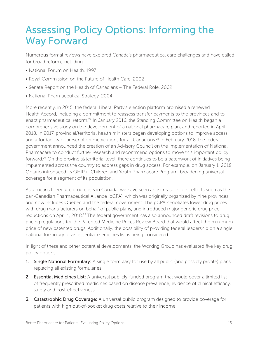# Assessing Policy Options: Informing the Way Forward

Numerous formal reviews have explored Canada's pharmaceutical care challenges and have called for broad reform, including:

- National Forum on Health, 1997
- Royal Commission on the Future of Health Care, 2002
- Senate Report on the Health of Canadians The Federal Role, 2002
- National Pharmaceutical Strategy, 2004

More recently, in 2015, the federal Liberal Party's election platform promised a renewed Health Accord, including a commitment to reassess transfer payments to the provinces and to enact pharmaceutical reform.<sup>22</sup> In January 2016, the Standing Committee on Health began a comprehensive study on the development of a national pharmacare plan, and reported in April 2018. In 2017, provincial/territorial health ministers began developing options to improve access and affordability of prescription medications for all Canadians.<sup>23</sup> In February 2018, the federal government announced the creation of an Advisory Council on the Implementation of National Pharmacare to conduct further research and recommend options to move this important policy forward.24 On the provincial/territorial level, there continues to be a patchwork of initiatives being implemented across the country to address gaps in drug access. For example, on January 1, 2018 Ontario introduced its OHIP+: Children and Youth Pharmacare Program, broadening universal coverage for a segment of its population.

As a means to reduce drug costs in Canada, we have seen an increase in joint efforts such as the pan-Canadian Pharmaceutical Alliance (pCPA), which was originally organized by nine provinces and now includes Quebec and the federal government. The pCPA negotiates lower drug prices with drug manufacturers on behalf of public plans, and introduced major generic drug price reductions on April 1, 2018.<sup>25</sup> The federal government has also announced draft revisions to drug pricing regulations for the Patented Medicine Prices Review Board that would affect the maximum price of new patented drugs. Additionally, the possibility of providing federal leadership on a single national formulary or an essential medicines list is being considered.

In light of these and other potential developments, the Working Group has evaluated five key drug policy options:

- 1. Single National Formulary: A single formulary for use by all public (and possibly private) plans, replacing all existing formularies.
- 2. Essential Medicines List: A universal publicly-funded program that would cover a limited list of frequently prescribed medicines based on disease prevalence, evidence of clinical efficacy, safety and cost-effectiveness.
- 3. Catastrophic Drug Coverage: A universal public program designed to provide coverage for patients with high out-of-pocket drug costs relative to their income.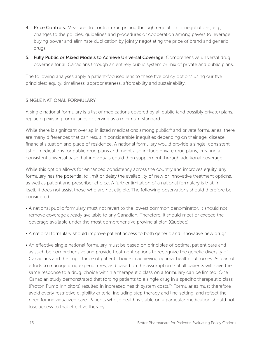- 4. Price Controls: Measures to control drug pricing through regulation or negotiations, e.g., changes to the policies, guidelines and procedures or cooperation among payers to leverage buying power and eliminate duplication by jointly negotiating the price of brand and generic drugs.
- 5. Fully Public or Mixed Models to Achieve Universal Coverage: Comprehensive universal drug coverage for all Canadians through an entirely public system or mix of private and public plans.

The following analyses apply a patient-focused lens to these five policy options using our five principles: equity, timeliness, appropriateness, affordability and sustainability.

#### SINGLE NATIONAL FORMULARY

A single national formulary is a list of medications covered by all public (and possibly private) plans, replacing existing formularies or serving as a minimum standard.

While there is significant overlap in listed medications among public<sup>26</sup> and private formularies, there are many differences that can result in considerable inequities depending on their age, disease, financial situation and place of residence. A national formulary would provide a single, consistent list of medications for public drug plans and might also include private drug plans, creating a consistent universal base that individuals could then supplement through additional coverage.

While this option allows for enhanced consistency across the country and improves equity, any formulary has the potential to limit or delay the availability of new or innovative treatment options, as well as patient and prescriber choice. A further limitation of a national formulary is that, in itself, it does not assist those who are not eligible. The following observations should therefore be considered:

- A national public formulary must not revert to the lowest common denominator. It should not remove coverage already available to any Canadian. Therefore, it should meet or exceed the coverage available under the most comprehensive provincial plan (Quebec).
- A national formulary should improve patient access to both generic and innovative new drugs.
- An effective single national formulary must be based on principles of optimal patient care and as such be comprehensive and provide treatment options to recognize the genetic diversity of Canadians and the importance of patient choice in achieving optimal health outcomes. As part of efforts to manage drug expenditures, and based on the assumption that all patients will have the same response to a drug, choice within a therapeutic class on a formulary can be limited. One Canadian study demonstrated that forcing patients to a single drug in a specific therapeutic class (Proton Pump Inhibitors) resulted in increased health system costs.27 Formularies must therefore avoid overly restrictive eligibility criteria, including step therapy and line-setting, and reflect the need for individualized care. Patients whose health is stable on a particular medication should not lose access to that effective therapy.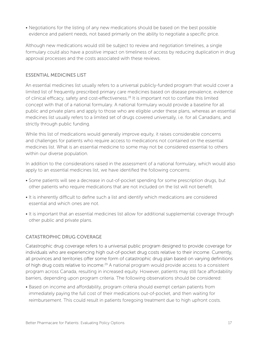• Negotiations for the listing of any new medications should be based on the best possible evidence and patient needs, not based primarily on the ability to negotiate a specific price.

Although new medications would still be subject to review and negotiation timelines, a single formulary could also have a positive impact on timeliness of access by reducing duplication in drug approval processes and the costs associated with these reviews.

# ESSENTIAL MEDICINES LIST

An essential medicines list usually refers to a universal publicly-funded program that would cover a limited list of frequently prescribed primary care medicines based on disease prevalence, evidence of clinical efficacy, safety and cost-effectiveness.28 It is important not to conflate this limited concept with that of a national formulary. A national formulary would provide a baseline for all public and private plans and apply to those who are eligible under these plans, whereas an essential medicines list usually refers to a limited set of drugs covered universally, i.e. for all Canadians, and strictly through public funding.

While this list of medications would generally improve equity, it raises considerable concerns and challenges for patients who require access to medications not contained on the essential medicines list. What is an essential medicine to some may not be considered essential to others within our diverse population.

In addition to the considerations raised in the assessment of a national formulary, which would also apply to an essential medicines list, we have identified the following concerns:

- Some patients will see a decrease in out-of-pocket spending for some prescription drugs, but other patients who require medications that are not included on the list will not benefit.
- It is inherently difficult to define such a list and identify which medications are considered essential and which ones are not.
- It is important that an essential medicines list allow for additional supplemental coverage through other public and private plans.

# CATASTROPHIC DRUG COVERAGE

Catastrophic drug coverage refers to a universal public program designed to provide coverage for individuals who are experiencing high out-of-pocket drug costs relative to their income. Currently, all provinces and territories offer some form of catastrophic drug plan based on varying definitions of high drug costs relative to income.29 A national program would provide access to a consistent program across Canada, resulting in increased equity. However, patients may still face affordability barriers, depending upon program criteria. The following observations should be considered:

• Based on income and affordability, program criteria should exempt certain patients from immediately paying the full cost of their medications out-of-pocket, and then waiting for reimbursement. This could result in patients foregoing treatment due to high upfront costs.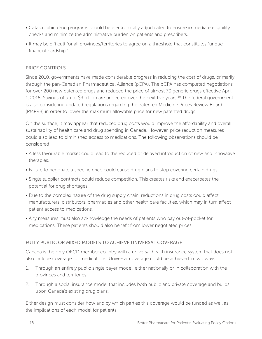- Catastrophic drug programs should be electronically adjudicated to ensure immediate eligibility checks and minimize the administrative burden on patients and prescribers.
- It may be difficult for all provinces/territories to agree on a threshold that constitutes "undue financial hardship."

# PRICE CONTROLS

Since 2010, governments have made considerable progress in reducing the cost of drugs, primarily through the pan-Canadian Pharmaceutical Alliance (pCPA). The pCPA has completed negotiations for over 200 new patented drugs and reduced the price of almost 70 generic drugs effective April 1, 2018. Savings of up to \$3 billion are projected over the next five years.30 The federal government is also considering updated regulations regarding the Patented Medicine Prices Review Board (PMPRB) in order to lower the maximum allowable price for new patented drugs.

On the surface, it may appear that reduced drug costs would improve the affordability and overall sustainability of health care and drug spending in Canada. However, price reduction measures could also lead to diminished access to medications. The following observations should be considered:

- A less favourable market could lead to the reduced or delayed introduction of new and innovative therapies.
- Failure to negotiate a specific price could cause drug plans to stop covering certain drugs.
- Single supplier contracts could reduce competition. This creates risks and exacerbates the potential for drug shortages.
- Due to the complex nature of the drug supply chain, reductions in drug costs could affect manufacturers, distributors, pharmacies and other health care facilities, which may in turn affect patient access to medications.
- Any measures must also acknowledge the needs of patients who pay out-of-pocket for medications. These patients should also benefit from lower negotiated prices.

# FULLY PUBLIC OR MIXED MODELS TO ACHIEVE UNIVERSAL COVERAGE

Canada is the only OECD member country with a universal health insurance system that does not also include coverage for medications. Universal coverage could be achieved in two ways:

- 1. Through an entirely public single payer model, either nationally or in collaboration with the provinces and territories.
- 2. Through a social insurance model that includes both public and private coverage and builds upon Canada's existing drug plans.

Either design must consider how and by which parties this coverage would be funded as well as the implications of each model for patients.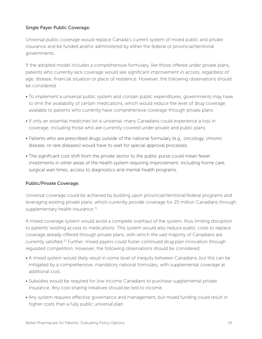# Single Payer Public Coverage:

Universal public coverage would replace Canada's current system of mixed public and private insurance and be funded and/or administered by either the federal or provincial/territorial governments.

If the adopted model includes a comprehensive formulary, like those offered under private plans, patients who currently lack coverage would see significant improvement in access, regardless of age, disease, financial situation or place of residence. However, the following observations should be considered:

- To implement a universal public system and contain public expenditures, governments may have to limit the availability of certain medications, which would reduce the level of drug coverage available to patients who currently have comprehensive coverage through private plans.
- If only an essential medicines list is universal, many Canadians could experience a loss in coverage, including those who are currently covered under private and public plans.
- Patients who are prescribed drugs outside of the national formulary (e.g., oncology, chronic disease, or rare diseases) would have to wait for special approval processes.
- The significant cost shift from the private sector to the public purse could mean fewer investments in other areas of the health system requiring improvement, including home care, surgical wait times, access to diagnostics and mental health programs.

# Public/Private Coverage:

Universal coverage could be achieved by building upon provincial/territorial/federal programs and leveraging existing private plans, which currently provide coverage for 25 million Canadians through supplementary health insurance.<sup>31</sup>

A mixed coverage system would avoid a complete overhaul of the system, thus limiting disruption to patients' existing access to medications. This system would also reduce public costs to replace coverage already offered through private plans, with which the vast majority of Canadians are currently satisfied.32 Further, mixed payers could foster continued drug plan innovation through regulated competition. However, the following observations should be considered:

- A mixed system would likely result in some level of inequity between Canadians, but this can be mitigated by a comprehensive, mandatory national formulary, with supplemental coverage at additional cost.
- Subsidies would be required for low income Canadians to purchase supplemental private insurance. Any cost-sharing initiatives should be tied to income.
- Any system requires effective governance and management, but mixed funding could result in higher costs than a fully public universal plan.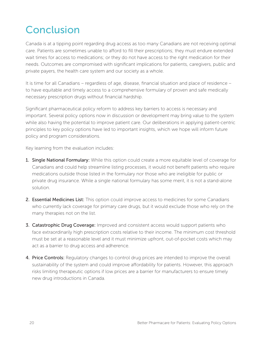# Conclusion

Canada is at a tipping point regarding drug access as too many Canadians are not receiving optimal care. Patients are sometimes unable to afford to fill their prescriptions; they must endure extended wait times for access to medications; or they do not have access to the right medication for their needs. Outcomes are compromised with significant implications for patients, caregivers, public and private payers, the health care system and our society as a whole.

It is time for all Canadians – regardless of age, disease, financial situation and place of residence – to have equitable and timely access to a comprehensive formulary of proven and safe medically necessary prescription drugs without financial hardship.

Significant pharmaceutical policy reform to address key barriers to access is necessary and important. Several policy options now in discussion or development may bring value to the system while also having the potential to improve patient care. Our deliberations in applying patient-centric principles to key policy options have led to important insights, which we hope will inform future policy and program considerations.

Key learning from the evaluation includes:

- 1. Single National Formulary: While this option could create a more equitable level of coverage for Canadians and could help streamline listing processes, it would not benefit patients who require medications outside those listed in the formulary nor those who are ineligible for public or private drug insurance. While a single national formulary has some merit, it is not a stand-alone solution.
- 2. Essential Medicines List: This option could improve access to medicines for some Canadians who currently lack coverage for primary care drugs, but it would exclude those who rely on the many therapies not on the list.
- **3. Catastrophic Drug Coverage:** Improved and consistent access would support patients who face extraordinarily high prescription costs relative to their income. The minimum cost threshold must be set at a reasonable level and it must minimize upfront, out-of-pocket costs which may act as a barrier to drug access and adherence.
- 4. Price Controls: Regulatory changes to control drug prices are intended to improve the overall sustainability of the system and could improve affordability for patients. However, this approach risks limiting therapeutic options if low prices are a barrier for manufacturers to ensure timely new drug introductions in Canada.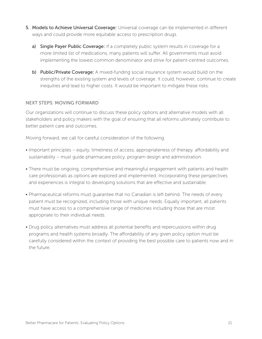- 5. Models to Achieve Universal Coverage: Universal coverage can be implemented in different ways and could provide more equitable access to prescription drugs.
	- a) Single Payer Public Coverage: If a completely public system results in coverage for a more limited list of medications, many patients will suffer. All governments must avoid implementing the lowest common denominator and strive for patient-centred outcomes.
	- b) Public/Private Coverage: A mixed-funding social insurance system would build on the strengths of the existing system and levels of coverage. It could, however, continue to create inequities and lead to higher costs. It would be important to mitigate these risks.

#### NEXT STEPS: MOVING FORWARD

Our organizations will continue to discuss these policy options and alternative models with all stakeholders and policy makers with the goal of ensuring that all reforms ultimately contribute to better patient care and outcomes.

Moving forward, we call for careful consideration of the following:

- Important principles equity, timeliness of access, appropriateness of therapy, affordability and sustainability – must guide pharmacare policy, program design and administration.
- There must be ongoing, comprehensive and meaningful engagement with patients and health care professionals as options are explored and implemented. Incorporating these perspectives and experiences is integral to developing solutions that are effective and sustainable.
- Pharmaceutical reforms must guarantee that no Canadian is left behind. The needs of every patient must be recognized, including those with unique needs. Equally important, all patients must have access to a comprehensive range of medicines including those that are most appropriate to their individual needs.
- Drug policy alternatives must address all potential benefits and repercussions within drug programs and health systems broadly. The affordability of any given policy option must be carefully considered within the context of providing the best possible care to patients now and in the future.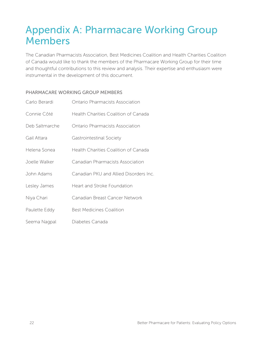# Appendix A: Pharmacare Working Group Members

The Canadian Pharmacists Association, Best Medicines Coalition and Health Charities Coalition of Canada would like to thank the members of the Pharmacare Working Group for their time and thoughtful contributions to this review and analysis. Their expertise and enthusiasm were instrumental in the development of this document.

# PHARMACARE WORKING GROUP MEMBERS

| Carlo Berardi  | Ontario Pharmacists Association        |
|----------------|----------------------------------------|
| Connie Côté    | Health Charities Coalition of Canada   |
| Deb Saltmarche | <b>Ontario Pharmacists Association</b> |
| Gail Attara    | Gastrointestinal Society               |
| Helena Sonea   | Health Charities Coalition of Canada   |
| Joelle Walker  | Canadian Pharmacists Association       |
| John Adams     | Canadian PKU and Allied Disorders Inc. |
| Lesley James   | Heart and Stroke Foundation            |
| Niya Chari     | Canadian Breast Cancer Network         |
| Paulette Eddy  | <b>Best Medicines Coalition</b>        |
| Seema Nagpal   | Diabetes Canada                        |